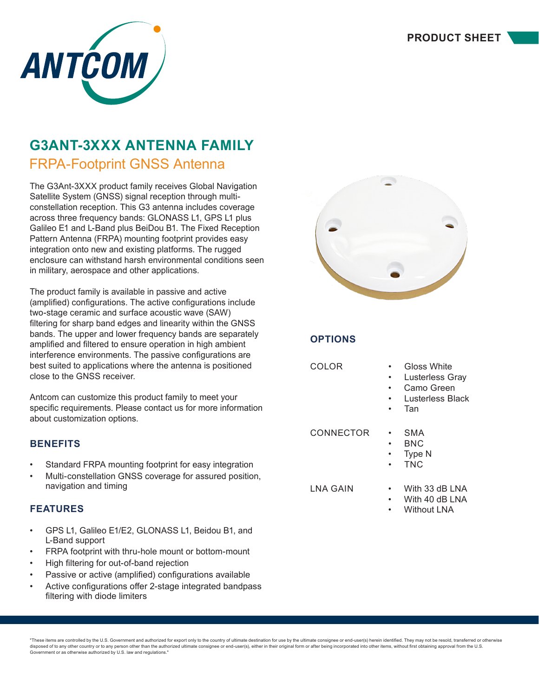

# **G3ANT-3XXX ANTENNA FAMILY**

### FRPA-Footprint GNSS Antenna

The G3Ant-3XXX product family receives Global Navigation Satellite System (GNSS) signal reception through multiconstellation reception. This G3 antenna includes coverage across three frequency bands: GLONASS L1, GPS L1 plus Galileo E1 and L-Band plus BeiDou B1. The Fixed Reception Pattern Antenna (FRPA) mounting footprint provides easy integration onto new and existing platforms. The rugged enclosure can withstand harsh environmental conditions seen in military, aerospace and other applications.

The product family is available in passive and active (amplified) configurations. The active configurations include two-stage ceramic and surface acoustic wave (SAW) filtering for sharp band edges and linearity within the GNSS bands. The upper and lower frequency bands are separately amplified and filtered to ensure operation in high ambient interference environments. The passive configurations are best suited to applications where the antenna is positioned close to the GNSS receiver.

Antcom can customize this product family to meet your specific requirements. Please contact us for more information about customization options.

#### **BENEFITS**

- Standard FRPA mounting footprint for easy integration
- Multi-constellation GNSS coverage for assured position, navigation and timing

#### **FEATURES**

- GPS L1, Galileo E1/E2, GLONASS L1, Beidou B1, and L-Band support
- FRPA footprint with thru-hole mount or bottom-mount
- High filtering for out-of-band rejection
- Passive or active (amplified) configurations available
- Active configurations offer 2-stage integrated bandpass filtering with diode limiters



### **OPTIONS**

| COLOR     | Gloss White<br>Lusterless Gray<br>Camo Green<br>Lusterless Black<br>Tan |
|-----------|-------------------------------------------------------------------------|
| CONNECTOR | SMA<br>BNC<br>Type N<br><b>TNC</b>                                      |
| LNA GAIN  | With 33 dB LNA<br>With 40 dB LNA<br>Without LNA                         |

"These items are controlled by the U.S. Government and authorized for export only to the country of ultimate destination for use by the ultimate consignee or end-user(s) herein identified. They may not be resold, transferr disposed of to any other country or to any person other than the authorized ultimate consignee or end-user(s), either in their original form or after being incorporated into other items, without first obtaining approval fr Government or as otherwise authorized by U.S. law and regulations."